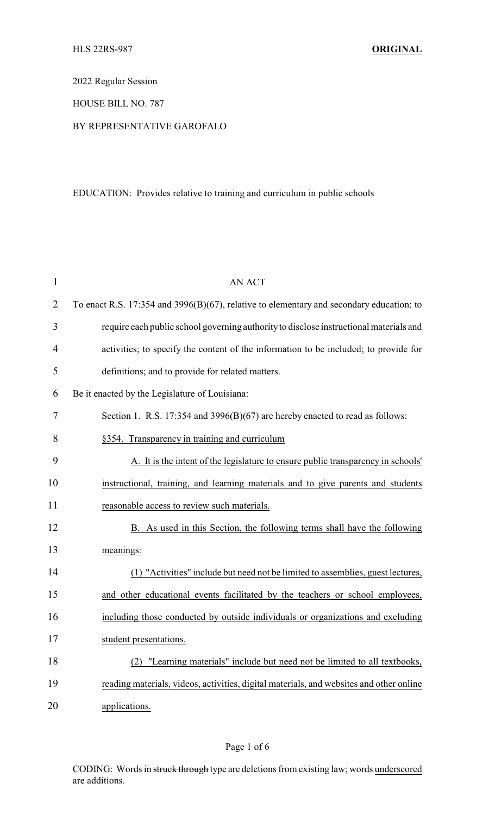2022 Regular Session

HOUSE BILL NO. 787

## BY REPRESENTATIVE GAROFALO

## EDUCATION: Provides relative to training and curriculum in public schools

| $\mathbf{1}$   | <b>AN ACT</b>                                                                            |
|----------------|------------------------------------------------------------------------------------------|
| $\overline{2}$ | To enact R.S. 17:354 and 3996(B)(67), relative to elementary and secondary education; to |
| 3              | require each public school governing authority to disclose instructional materials and   |
| 4              | activities; to specify the content of the information to be included; to provide for     |
| 5              | definitions; and to provide for related matters.                                         |
| 6              | Be it enacted by the Legislature of Louisiana:                                           |
| 7              | Section 1. R.S. 17:354 and 3996(B)(67) are hereby enacted to read as follows:            |
| 8              | §354. Transparency in training and curriculum                                            |
| 9              | A. It is the intent of the legislature to ensure public transparency in schools'         |
| 10             | instructional, training, and learning materials and to give parents and students         |
| 11             | reasonable access to review such materials.                                              |
| 12             | B. As used in this Section, the following terms shall have the following                 |
| 13             | meanings:                                                                                |
| 14             | (1) "Activities" include but need not be limited to assemblies, guest lectures,          |
| 15             | and other educational events facilitated by the teachers or school employees,            |
| 16             | including those conducted by outside individuals or organizations and excluding          |
| 17             | student presentations.                                                                   |
| 18             | (2) "Learning materials" include but need not be limited to all textbooks,               |
| 19             | reading materials, videos, activities, digital materials, and websites and other online  |
| 20             | applications.                                                                            |

CODING: Words in struck through type are deletions from existing law; words underscored are additions.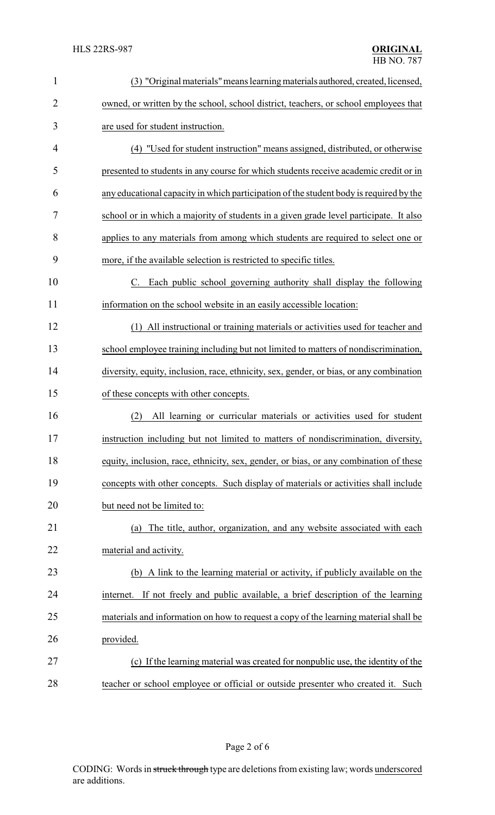| $\mathbf{1}$ | (3) "Original materials" means learning materials authored, created, licensed,          |
|--------------|-----------------------------------------------------------------------------------------|
| 2            | owned, or written by the school, school district, teachers, or school employees that    |
| 3            | are used for student instruction.                                                       |
| 4            | (4) "Used for student instruction" means assigned, distributed, or otherwise            |
| 5            | presented to students in any course for which students receive academic credit or in    |
| 6            | any educational capacity in which participation of the student body is required by the  |
| 7            | school or in which a majority of students in a given grade level participate. It also   |
| 8            | applies to any materials from among which students are required to select one or        |
| 9            | more, if the available selection is restricted to specific titles.                      |
| 10           | Each public school governing authority shall display the following<br>$C_{\cdot}$       |
| 11           | information on the school website in an easily accessible location:                     |
| 12           | (1) All instructional or training materials or activities used for teacher and          |
| 13           | school employee training including but not limited to matters of nondiscrimination,     |
| 14           | diversity, equity, inclusion, race, ethnicity, sex, gender, or bias, or any combination |
| 15           | of these concepts with other concepts.                                                  |
| 16           | All learning or curricular materials or activities used for student<br>(2)              |
| 17           | instruction including but not limited to matters of nondiscrimination, diversity,       |
| 18           | equity, inclusion, race, ethnicity, sex, gender, or bias, or any combination of these   |
| 19           | concepts with other concepts. Such display of materials or activities shall include     |
| 20           | but need not be limited to:                                                             |
| 21           | The title, author, organization, and any website associated with each<br>(a)            |
| 22           | material and activity.                                                                  |
| 23           | (b) A link to the learning material or activity, if publicly available on the           |
| 24           | internet. If not freely and public available, a brief description of the learning       |
| 25           | materials and information on how to request a copy of the learning material shall be    |
| 26           | provided.                                                                               |
| 27           | (c) If the learning material was created for nonpublic use, the identity of the         |
| 28           | teacher or school employee or official or outside presenter who created it. Such        |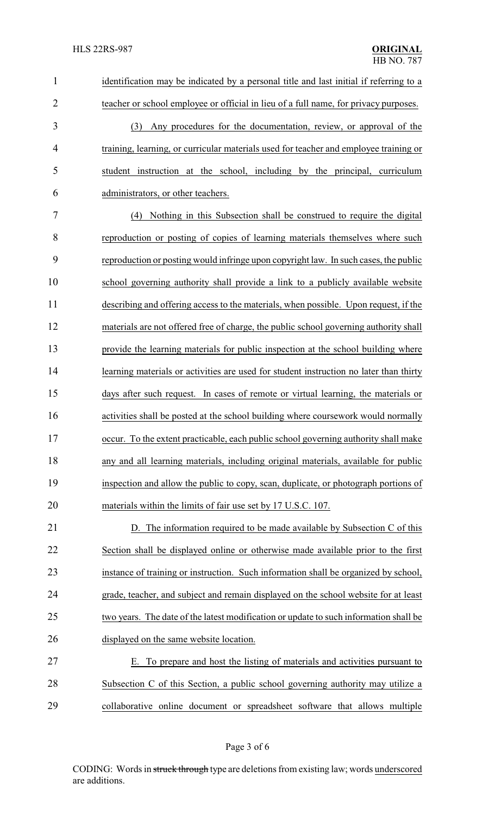| $\mathbf{1}$   | identification may be indicated by a personal title and last initial if referring to a |
|----------------|----------------------------------------------------------------------------------------|
| $\overline{2}$ | teacher or school employee or official in lieu of a full name, for privacy purposes.   |
| 3              | Any procedures for the documentation, review, or approval of the<br>(3)                |
| 4              | training, learning, or curricular materials used for teacher and employee training or  |
| 5              | student instruction at the school, including by the principal, curriculum              |
| 6              | administrators, or other teachers.                                                     |
| 7              | (4) Nothing in this Subsection shall be construed to require the digital               |
| 8              | reproduction or posting of copies of learning materials themselves where such          |
| 9              | reproduction or posting would infringe upon copyright law. In such cases, the public   |
| 10             | school governing authority shall provide a link to a publicly available website        |
| 11             | describing and offering access to the materials, when possible. Upon request, if the   |
| 12             | materials are not offered free of charge, the public school governing authority shall  |
| 13             | provide the learning materials for public inspection at the school building where      |
| 14             | learning materials or activities are used for student instruction no later than thirty |
| 15             | days after such request. In cases of remote or virtual learning, the materials or      |
| 16             | activities shall be posted at the school building where coursework would normally      |
| 17             | occur. To the extent practicable, each public school governing authority shall make    |
| 18             | any and all learning materials, including original materials, available for public     |
| 19             | inspection and allow the public to copy, scan, duplicate, or photograph portions of    |
| 20             | materials within the limits of fair use set by 17 U.S.C. 107.                          |
| 21             | D. The information required to be made available by Subsection C of this               |
| 22             | Section shall be displayed online or otherwise made available prior to the first       |
| 23             | instance of training or instruction. Such information shall be organized by school,    |
| 24             | grade, teacher, and subject and remain displayed on the school website for at least    |
| 25             | two years. The date of the latest modification or update to such information shall be  |
| 26             | displayed on the same website location.                                                |
| 27             | To prepare and host the listing of materials and activities pursuant to<br>Е.          |
| 28             | Subsection C of this Section, a public school governing authority may utilize a        |
| 29             | collaborative online document or spreadsheet software that allows multiple             |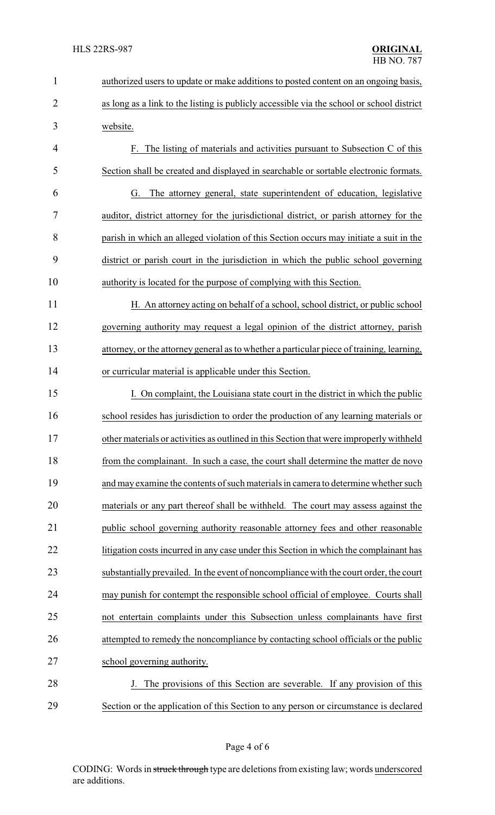| $\mathbf{1}$   | authorized users to update or make additions to posted content on an ongoing basis,       |  |  |
|----------------|-------------------------------------------------------------------------------------------|--|--|
| $\overline{2}$ | as long as a link to the listing is publicly accessible via the school or school district |  |  |
| 3              | website.                                                                                  |  |  |
| 4              | F. The listing of materials and activities pursuant to Subsection C of this               |  |  |
| 5              | Section shall be created and displayed in searchable or sortable electronic formats.      |  |  |
| 6              | The attorney general, state superintendent of education, legislative<br>G.                |  |  |
| 7              | auditor, district attorney for the jurisdictional district, or parish attorney for the    |  |  |
| 8              | parish in which an alleged violation of this Section occurs may initiate a suit in the    |  |  |
| 9              | district or parish court in the jurisdiction in which the public school governing         |  |  |
| 10             | authority is located for the purpose of complying with this Section.                      |  |  |
| 11             | H. An attorney acting on behalf of a school, school district, or public school            |  |  |
| 12             | governing authority may request a legal opinion of the district attorney, parish          |  |  |
| 13             | attorney, or the attorney general as to whether a particular piece of training, learning, |  |  |
| 14             | or curricular material is applicable under this Section.                                  |  |  |
| 15             | I. On complaint, the Louisiana state court in the district in which the public            |  |  |
| 16             | school resides has jurisdiction to order the production of any learning materials or      |  |  |
| 17             | other materials or activities as outlined in this Section that were improperly withheld   |  |  |
| 18             | from the complainant. In such a case, the court shall determine the matter de novo        |  |  |
| 19             | and may examine the contents of such materials in camera to determine whether such        |  |  |
| 20             | materials or any part thereof shall be withheld. The court may assess against the         |  |  |
| 21             | public school governing authority reasonable attorney fees and other reasonable           |  |  |
| 22             | litigation costs incurred in any case under this Section in which the complainant has     |  |  |
| 23             | substantially prevailed. In the event of noncompliance with the court order, the court    |  |  |
| 24             | may punish for contempt the responsible school official of employee. Courts shall         |  |  |
| 25             | not entertain complaints under this Subsection unless complainants have first             |  |  |
| 26             | attempted to remedy the noncompliance by contacting school officials or the public        |  |  |
| 27             | school governing authority.                                                               |  |  |
| 28             | The provisions of this Section are severable. If any provision of this                    |  |  |
| 29             | Section or the application of this Section to any person or circumstance is declared      |  |  |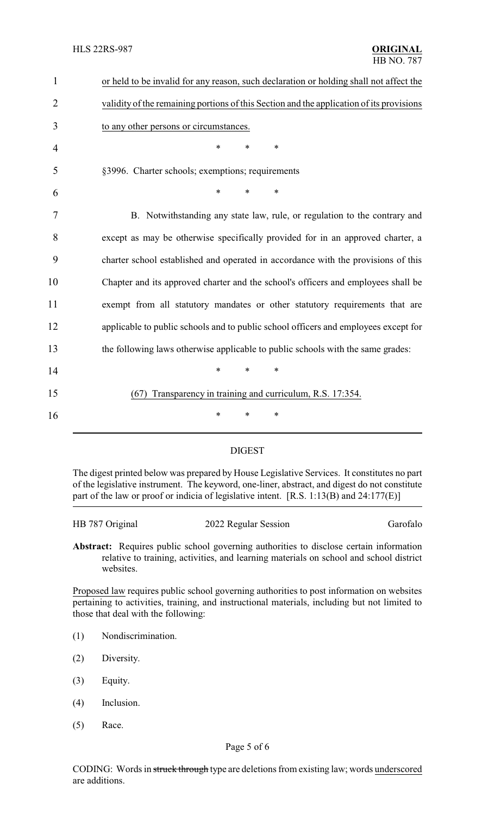| $\mathbf{1}$   | or held to be invalid for any reason, such declaration or holding shall not affect the   |
|----------------|------------------------------------------------------------------------------------------|
| $\overline{2}$ | validity of the remaining portions of this Section and the application of its provisions |
| 3              | to any other persons or circumstances.                                                   |
| 4              | *<br>$\ast$<br>$\ast$                                                                    |
| 5              | §3996. Charter schools; exemptions; requirements                                         |
| 6              | $\ast$<br>$\ast$<br>*                                                                    |
| 7              | B. Notwithstanding any state law, rule, or regulation to the contrary and                |
| 8              | except as may be otherwise specifically provided for in an approved charter, a           |
| 9              | charter school established and operated in accordance with the provisions of this        |
| 10             | Chapter and its approved charter and the school's officers and employees shall be        |
| 11             | exempt from all statutory mandates or other statutory requirements that are              |
| 12             | applicable to public schools and to public school officers and employees except for      |
| 13             | the following laws otherwise applicable to public schools with the same grades:          |
| 14             | $\ast$<br>$\ast$<br>$\ast$                                                               |
| 15             | Transparency in training and curriculum, R.S. 17:354.<br>(67)                            |
| 16             | $\ast$<br>∗<br>∗                                                                         |

## DIGEST

The digest printed below was prepared by House Legislative Services. It constitutes no part of the legislative instrument. The keyword, one-liner, abstract, and digest do not constitute part of the law or proof or indicia of legislative intent. [R.S. 1:13(B) and 24:177(E)]

| HB 787 Original | 2022 Regular Session | Garofalo |
|-----------------|----------------------|----------|
|                 |                      |          |

**Abstract:** Requires public school governing authorities to disclose certain information relative to training, activities, and learning materials on school and school district websites.

Proposed law requires public school governing authorities to post information on websites pertaining to activities, training, and instructional materials, including but not limited to those that deal with the following:

- (1) Nondiscrimination.
- (2) Diversity.
- (3) Equity.
- (4) Inclusion.
- (5) Race.

CODING: Words in struck through type are deletions from existing law; words underscored are additions.